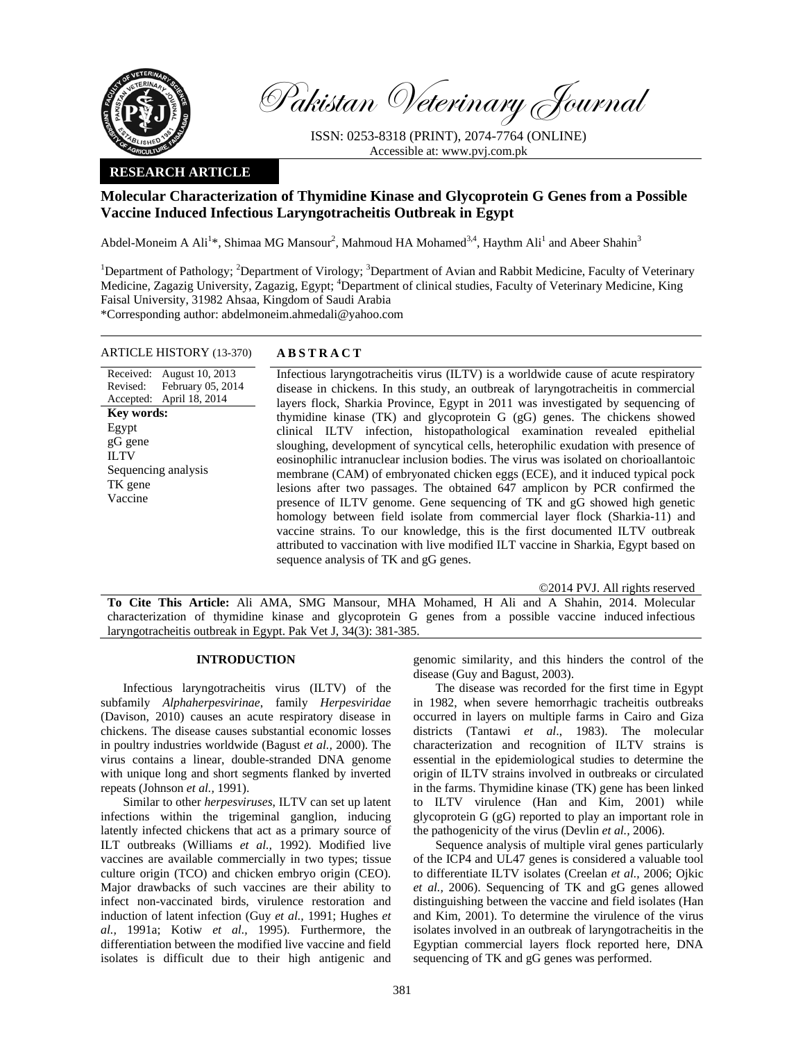

Pakistan Veterinary Journal

ISSN: 0253-8318 (PRINT), 2074-7764 (ONLINE) Accessible at: www.pvj.com.pk

# **RESEARCH ARTICLE**

# **Molecular Characterization of Thymidine Kinase and Glycoprotein G Genes from a Possible Vaccine Induced Infectious Laryngotracheitis Outbreak in Egypt**

Abdel-Moneim A Ali<sup>1\*</sup>, Shimaa MG Mansour<sup>2</sup>, Mahmoud HA Mohamed<sup>3,4</sup>, Haythm Ali<sup>1</sup> and Abeer Shahin<sup>3</sup>

<sup>1</sup>Department of Pathology; <sup>2</sup>Department of Virology; <sup>3</sup>Department of Avian and Rabbit Medicine, Faculty of Veterinary Medicine, Zagazig University, Zagazig, Egypt; <sup>4</sup>Department of clinical studies, Faculty of Veterinary Medicine, King Faisal University, 31982 Ahsaa, Kingdom of Saudi Arabia

\*Corresponding author: abdelmoneim.ahmedali@yahoo.com

# ARTICLE HISTORY (13-370) **ABSTRACT**

Received: August 10, 2013 Revised: Accepted: February 05, 2014 April 18, 2014 **Key words:**  Egypt gG gene ILTV Sequencing analysis TK gene Vaccine

 Infectious laryngotracheitis virus (ILTV) is a worldwide cause of acute respiratory disease in chickens. In this study, an outbreak of laryngotracheitis in commercial layers flock, Sharkia Province, Egypt in 2011 was investigated by sequencing of thymidine kinase (TK) and glycoprotein G (gG) genes. The chickens showed clinical ILTV infection, histopathological examination revealed epithelial sloughing, development of syncytical cells, heterophilic exudation with presence of eosinophilic intranuclear inclusion bodies. The virus was isolated on chorioallantoic membrane (CAM) of embryonated chicken eggs (ECE), and it induced typical pock lesions after two passages. The obtained 647 amplicon by PCR confirmed the presence of ILTV genome. Gene sequencing of TK and gG showed high genetic homology between field isolate from commercial layer flock (Sharkia-11) and vaccine strains. To our knowledge, this is the first documented ILTV outbreak attributed to vaccination with live modified ILT vaccine in Sharkia, Egypt based on sequence analysis of TK and gG genes.

©2014 PVJ. All rights reserved

**To Cite This Article:** Ali AMA, SMG Mansour, MHA Mohamed, H Ali and A Shahin, 2014. Molecular characterization of thymidine kinase and glycoprotein G genes from a possible vaccine induced infectious laryngotracheitis outbreak in Egypt. Pak Vet J, 34(3): 381-385.

### **INTRODUCTION**

Infectious laryngotracheitis virus (ILTV) of the subfamily *Alphaherpesvirinae*, family *Herpesviridae*  (Davison, 2010) causes an acute respiratory disease in chickens. The disease causes substantial economic losses in poultry industries worldwide (Bagust *et al.,* 2000). The virus contains a linear, double-stranded DNA genome with unique long and short segments flanked by inverted repeats (Johnson *et al.,* 1991).

Similar to other *herpesviruses*, ILTV can set up latent infections within the trigeminal ganglion, inducing latently infected chickens that act as a primary source of ILT outbreaks (Williams *et al.,* 1992). Modified live vaccines are available commercially in two types; tissue culture origin (TCO) and chicken embryo origin (CEO). Major drawbacks of such vaccines are their ability to infect non-vaccinated birds, virulence restoration and induction of latent infection (Guy *et al.,* 1991; Hughes *et al.,* 1991a; Kotiw *et al.,* 1995). Furthermore, the differentiation between the modified live vaccine and field isolates is difficult due to their high antigenic and

genomic similarity, and this hinders the control of the disease (Guy and Bagust, 2003).

The disease was recorded for the first time in Egypt in 1982, when severe hemorrhagic tracheitis outbreaks occurred in layers on multiple farms in Cairo and Giza districts (Tantawi *et al*., 1983). The molecular characterization and recognition of ILTV strains is essential in the epidemiological studies to determine the origin of ILTV strains involved in outbreaks or circulated in the farms. Thymidine kinase (TK) gene has been linked to ILTV virulence (Han and Kim, 2001) while glycoprotein G (gG) reported to play an important role in the pathogenicity of the virus (Devlin *et al.,* 2006).

Sequence analysis of multiple viral genes particularly of the ICP4 and UL47 genes is considered a valuable tool to differentiate ILTV isolates (Creelan *et al.,* 2006; Ojkic *et al.,* 2006). Sequencing of TK and gG genes allowed distinguishing between the vaccine and field isolates (Han and Kim, 2001). To determine the virulence of the virus isolates involved in an outbreak of laryngotracheitis in the Egyptian commercial layers flock reported here, DNA sequencing of TK and gG genes was performed.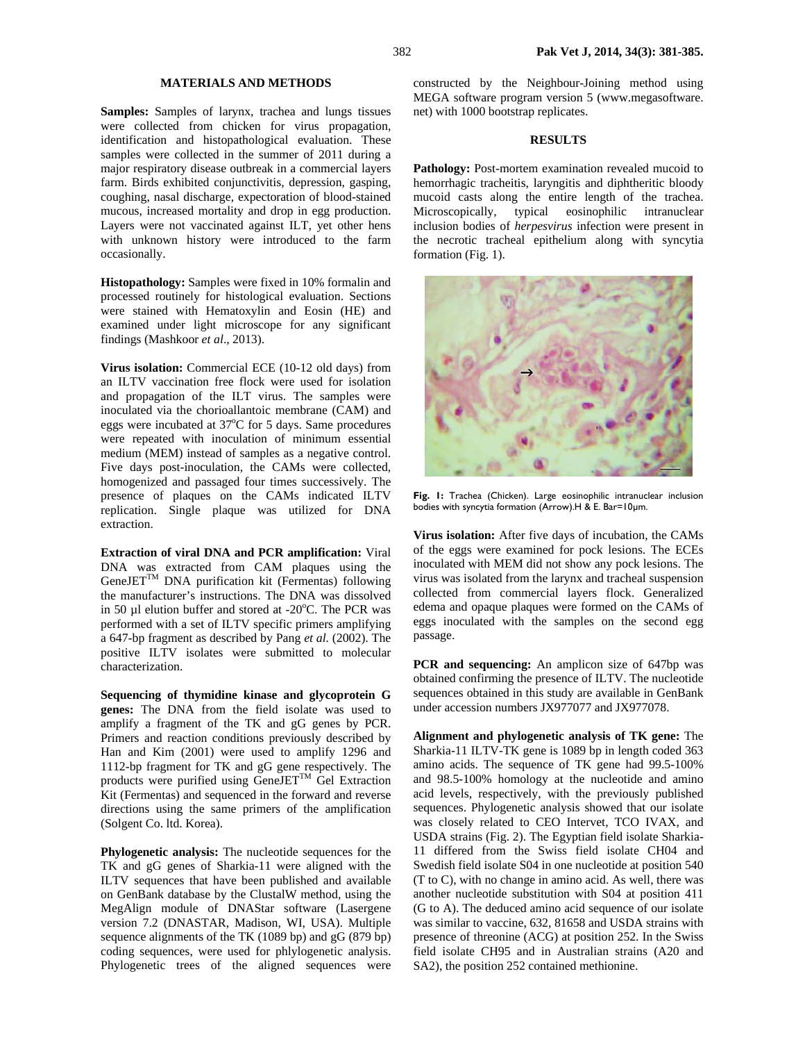## **MATERIALS AND METHODS**

**Samples:** Samples of larynx, trachea and lungs tissues were collected from chicken for virus propagation, identification and histopathological evaluation. These samples were collected in the summer of 2011 during a major respiratory disease outbreak in a commercial layers farm. Birds exhibited conjunctivitis, depression, gasping, coughing, nasal discharge, expectoration of blood-stained mucous, increased mortality and drop in egg production. Layers were not vaccinated against ILT, yet other hens with unknown history were introduced to the farm occasionally.

**Histopathology:** Samples were fixed in 10% formalin and processed routinely for histological evaluation. Sections were stained with Hematoxylin and Eosin (HE) and examined under light microscope for any significant findings (Mashkoor *et al*., 2013).

**Virus isolation:** Commercial ECE (10-12 old days) from an ILTV vaccination free flock were used for isolation and propagation of the ILT virus. The samples were inoculated via the chorioallantoic membrane (CAM) and eggs were incubated at 37°C for 5 days. Same procedures were repeated with inoculation of minimum essential medium (MEM) instead of samples as a negative control. Five days post-inoculation, the CAMs were collected, homogenized and passaged four times successively. The presence of plaques on the CAMs indicated ILTV replication. Single plaque was utilized for DNA extraction.

**Extraction of viral DNA and PCR amplification:** Viral DNA was extracted from CAM plaques using the  $GenelET^{TM}$  DNA purification kit (Fermentas) following the manufacturer's instructions. The DNA was dissolved in 50  $\mu$ l elution buffer and stored at -20 $\degree$ C. The PCR was performed with a set of ILTV specific primers amplifying a 647-bp fragment as described by Pang *et al.* (2002). The positive ILTV isolates were submitted to molecular characterization.

**Sequencing of thymidine kinase and glycoprotein G genes:** The DNA from the field isolate was used to amplify a fragment of the TK and gG genes by PCR. Primers and reaction conditions previously described by Han and Kim (2001) were used to amplify 1296 and 1112-bp fragment for TK and gG gene respectively. The products were purified using  $\overline{GeneJET}^{TM}$  Gel Extraction Kit (Fermentas) and sequenced in the forward and reverse directions using the same primers of the amplification (Solgent Co. ltd. Korea).

**Phylogenetic analysis:** The nucleotide sequences for the TK and gG genes of Sharkia-11 were aligned with the ILTV sequences that have been published and available on GenBank database by the ClustalW method, using the MegAlign module of DNAStar software (Lasergene version 7.2 (DNASTAR, Madison, WI, USA). Multiple sequence alignments of the TK (1089 bp) and gG (879 bp) coding sequences, were used for phlylogenetic analysis. Phylogenetic trees of the aligned sequences were constructed by the Neighbour-Joining method using MEGA software program version 5 (www.megasoftware. net) with 1000 bootstrap replicates.

# **RESULTS**

**Pathology:** Post-mortem examination revealed mucoid to hemorrhagic tracheitis, laryngitis and diphtheritic bloody mucoid casts along the entire length of the trachea. Microscopically, typical eosinophilic intranuclear inclusion bodies of *herpesvirus* infection were present in the necrotic tracheal epithelium along with syncytia formation (Fig. 1).



**Fig. 1:** Trachea (Chicken). Large eosinophilic intranuclear inclusion bodies with syncytia formation (Arrow).H & E. Bar=10µm.

**Virus isolation:** After five days of incubation, the CAMs of the eggs were examined for pock lesions. The ECEs inoculated with MEM did not show any pock lesions. The virus was isolated from the larynx and tracheal suspension collected from commercial layers flock. Generalized edema and opaque plaques were formed on the CAMs of eggs inoculated with the samples on the second egg passage.

**PCR and sequencing:** An amplicon size of 647bp was obtained confirming the presence of ILTV. The nucleotide sequences obtained in this study are available in GenBank under accession numbers JX977077 and JX977078.

**Alignment and phylogenetic analysis of TK gene:** The Sharkia-11 ILTV-TK gene is 1089 bp in length coded 363 amino acids. The sequence of TK gene had 99.5-100% and 98.5-100% homology at the nucleotide and amino acid levels, respectively, with the previously published sequences. Phylogenetic analysis showed that our isolate was closely related to CEO Intervet, TCO IVAX, and USDA strains (Fig. 2). The Egyptian field isolate Sharkia-11 differed from the Swiss field isolate CH04 and Swedish field isolate S04 in one nucleotide at position 540 (T to C), with no change in amino acid. As well, there was another nucleotide substitution with S04 at position 411 (G to A). The deduced amino acid sequence of our isolate was similar to vaccine, 632, 81658 and USDA strains with presence of threonine (ACG) at position 252. In the Swiss field isolate CH95 and in Australian strains (A20 and SA2), the position 252 contained methionine.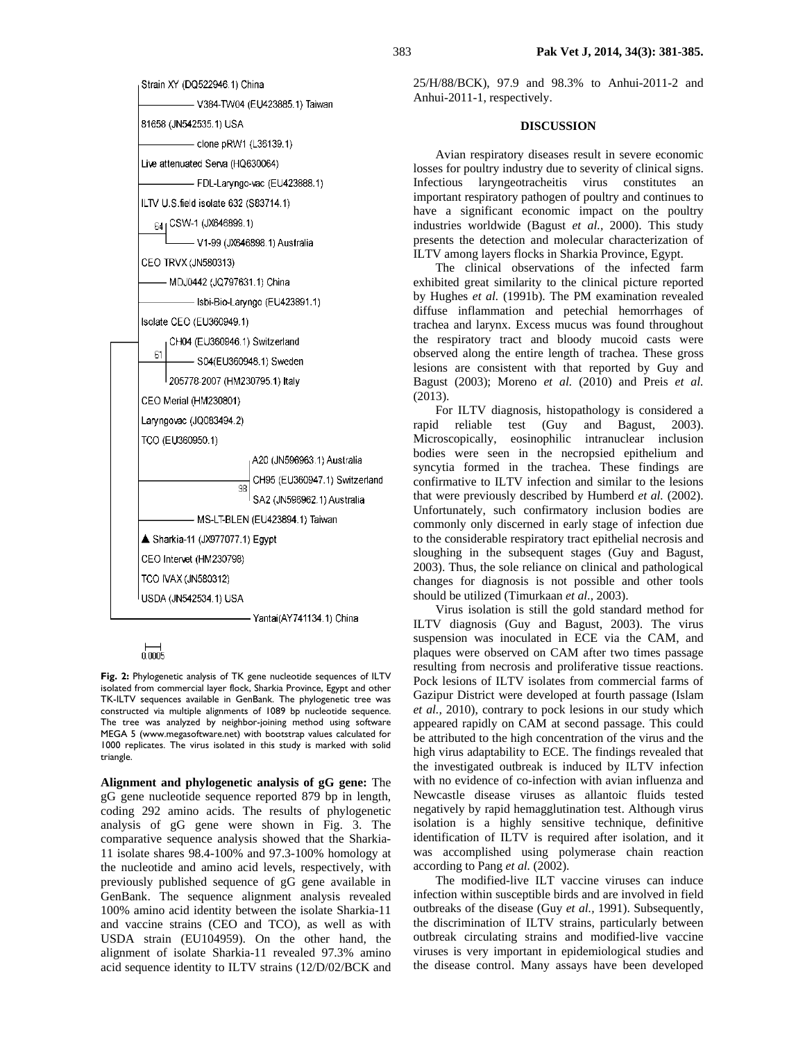



**Fig. 2:** Phylogenetic analysis of TK gene nucleotide sequences of ILTV isolated from commercial layer flock, Sharkia Province, Egypt and other TK-ILTV sequences available in GenBank. The phylogenetic tree was constructed via multiple alignments of 1089 bp nucleotide sequence. The tree was analyzed by neighbor-joining method using software MEGA 5 (www.megasoftware.net) with bootstrap values calculated for 1000 replicates. The virus isolated in this study is marked with solid triangle.

**Alignment and phylogenetic analysis of gG gene:** The gG gene nucleotide sequence reported 879 bp in length, coding 292 amino acids. The results of phylogenetic analysis of gG gene were shown in Fig. 3. The comparative sequence analysis showed that the Sharkia-11 isolate shares 98.4-100% and 97.3-100% homology at the nucleotide and amino acid levels, respectively, with previously published sequence of gG gene available in GenBank. The sequence alignment analysis revealed 100% amino acid identity between the isolate Sharkia-11 and vaccine strains (CEO and TCO), as well as with USDA strain (EU104959). On the other hand, the alignment of isolate Sharkia-11 revealed 97.3% amino acid sequence identity to ILTV strains (12/D/02/BCK and

25/H/88/BCK), 97.9 and 98.3% to Anhui-2011-2 and Anhui-2011-1, respectively.

#### **DISCUSSION**

Avian respiratory diseases result in severe economic losses for poultry industry due to severity of clinical signs. Infectious laryngeotracheitis virus constitutes an important respiratory pathogen of poultry and continues to have a significant economic impact on the poultry industries worldwide (Bagust *et al.,* 2000). This study presents the detection and molecular characterization of ILTV among layers flocks in Sharkia Province, Egypt.

The clinical observations of the infected farm exhibited great similarity to the clinical picture reported by Hughes *et al.* (1991b). The PM examination revealed diffuse inflammation and petechial hemorrhages of trachea and larynx. Excess mucus was found throughout the respiratory tract and bloody mucoid casts were observed along the entire length of trachea. These gross lesions are consistent with that reported by Guy and Bagust (2003); Moreno *et al.* (2010) and Preis *et al.* (2013).

For ILTV diagnosis, histopathology is considered a rapid reliable test (Guy and Bagust, 2003). Microscopically, eosinophilic intranuclear inclusion bodies were seen in the necropsied epithelium and syncytia formed in the trachea. These findings are confirmative to ILTV infection and similar to the lesions that were previously described by Humberd *et al.* (2002). Unfortunately, such confirmatory inclusion bodies are commonly only discerned in early stage of infection due to the considerable respiratory tract epithelial necrosis and sloughing in the subsequent stages (Guy and Bagust, 2003). Thus, the sole reliance on clinical and pathological changes for diagnosis is not possible and other tools should be utilized (Timurkaan *et al.,* 2003).

Virus isolation is still the gold standard method for ILTV diagnosis (Guy and Bagust, 2003). The virus suspension was inoculated in ECE via the CAM, and plaques were observed on CAM after two times passage resulting from necrosis and proliferative tissue reactions. Pock lesions of ILTV isolates from commercial farms of Gazipur District were developed at fourth passage (Islam *et al.,* 2010), contrary to pock lesions in our study which appeared rapidly on CAM at second passage. This could be attributed to the high concentration of the virus and the high virus adaptability to ECE. The findings revealed that the investigated outbreak is induced by ILTV infection with no evidence of co-infection with avian influenza and Newcastle disease viruses as allantoic fluids tested negatively by rapid hemagglutination test. Although virus isolation is a highly sensitive technique, definitive identification of ILTV is required after isolation, and it was accomplished using polymerase chain reaction according to Pang *et al.* (2002).

The modified-live ILT vaccine viruses can induce infection within susceptible birds and are involved in field outbreaks of the disease (Guy *et al.,* 1991). Subsequently, the discrimination of ILTV strains, particularly between outbreak circulating strains and modified-live vaccine viruses is very important in epidemiological studies and the disease control. Many assays have been developed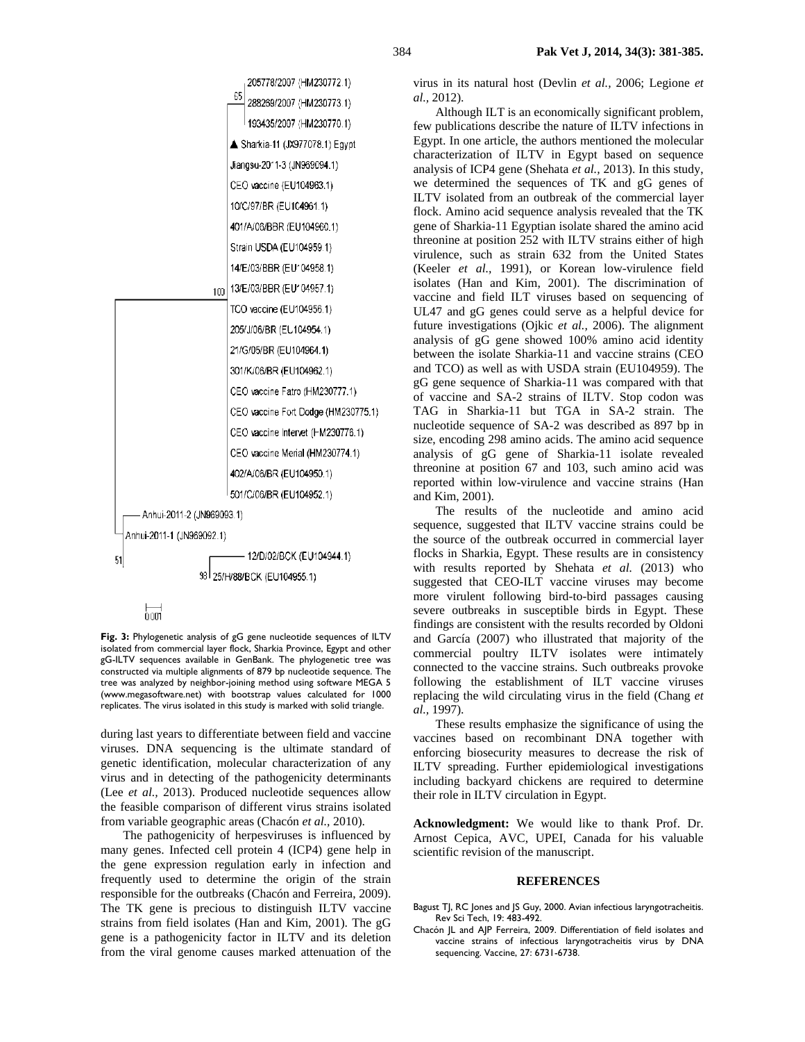

**Fig. 3:** Phylogenetic analysis of gG gene nucleotide sequences of ILTV isolated from commercial layer flock, Sharkia Province, Egypt and other gG-ILTV sequences available in GenBank. The phylogenetic tree was constructed via multiple alignments of 879 bp nucleotide sequence. The tree was analyzed by neighbor-joining method using software MEGA 5 (www.megasoftware.net) with bootstrap values calculated for 1000 replicates. The virus isolated in this study is marked with solid triangle.

during last years to differentiate between field and vaccine viruses. DNA sequencing is the ultimate standard of genetic identification, molecular characterization of any virus and in detecting of the pathogenicity determinants (Lee *et al.,* 2013). Produced nucleotide sequences allow the feasible comparison of different virus strains isolated from variable geographic areas (Chacón *et al.,* 2010).

The pathogenicity of herpesviruses is influenced by many genes. Infected cell protein 4 (ICP4) gene help in the gene expression regulation early in infection and frequently used to determine the origin of the strain responsible for the outbreaks (Chacón and Ferreira, 2009). The TK gene is precious to distinguish ILTV vaccine strains from field isolates (Han and Kim, 2001). The gG gene is a pathogenicity factor in ILTV and its deletion from the viral genome causes marked attenuation of the

virus in its natural host (Devlin *et al.,* 2006; Legione *et al.,* 2012).

Although ILT is an economically significant problem, few publications describe the nature of ILTV infections in Egypt. In one article, the authors mentioned the molecular characterization of ILTV in Egypt based on sequence analysis of ICP4 gene (Shehata *et al.,* 2013). In this study, we determined the sequences of TK and gG genes of ILTV isolated from an outbreak of the commercial layer flock. Amino acid sequence analysis revealed that the TK gene of Sharkia-11 Egyptian isolate shared the amino acid threonine at position 252 with ILTV strains either of high virulence, such as strain 632 from the United States (Keeler *et al.,* 1991), or Korean low-virulence field isolates (Han and Kim, 2001). The discrimination of vaccine and field ILT viruses based on sequencing of UL47 and gG genes could serve as a helpful device for future investigations (Ojkic *et al.,* 2006). The alignment analysis of gG gene showed 100% amino acid identity between the isolate Sharkia-11 and vaccine strains (CEO and TCO) as well as with USDA strain (EU104959). The gG gene sequence of Sharkia-11 was compared with that of vaccine and SA-2 strains of ILTV. Stop codon was TAG in Sharkia-11 but TGA in SA-2 strain. The nucleotide sequence of SA-2 was described as 897 bp in size, encoding 298 amino acids. The amino acid sequence analysis of gG gene of Sharkia-11 isolate revealed threonine at position 67 and 103, such amino acid was reported within low-virulence and vaccine strains (Han and Kim, 2001).

The results of the nucleotide and amino acid sequence, suggested that ILTV vaccine strains could be the source of the outbreak occurred in commercial layer flocks in Sharkia, Egypt. These results are in consistency with results reported by Shehata *et al.* (2013) who suggested that CEO-ILT vaccine viruses may become more virulent following bird-to-bird passages causing severe outbreaks in susceptible birds in Egypt. These findings are consistent with the results recorded by Oldoni and García (2007) who illustrated that majority of the commercial poultry ILTV isolates were intimately connected to the vaccine strains. Such outbreaks provoke following the establishment of ILT vaccine viruses replacing the wild circulating virus in the field (Chang *et al.,* 1997).

These results emphasize the significance of using the vaccines based on recombinant DNA together with enforcing biosecurity measures to decrease the risk of ILTV spreading. Further epidemiological investigations including backyard chickens are required to determine their role in ILTV circulation in Egypt.

**Acknowledgment:** We would like to thank Prof. Dr. Arnost Cepica, AVC, UPEI, Canada for his valuable scientific revision of the manuscript.

#### **REFERENCES**

- Bagust TJ, RC Jones and JS Guy, 2000. Avian infectious laryngotracheitis. Rev Sci Tech, 19: 483-492.
- Chacón JL and AJP Ferreira, 2009. Differentiation of field isolates and vaccine strains of infectious laryngotracheitis virus by DNA sequencing. Vaccine, 27: 6731-6738.